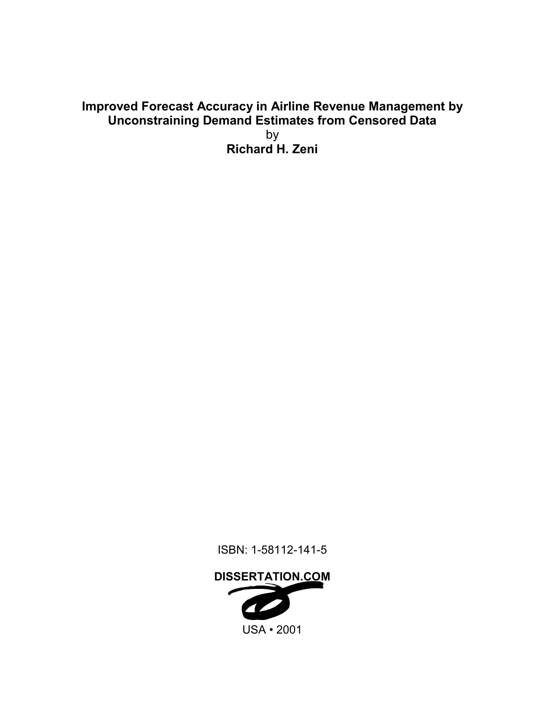## **Improved Forecast Accuracy in Airline Revenue Management by Unconstraining Demand Estimates from Censored Data** by **Richard H. Zeni**

ISBN: 1-58112-141-5

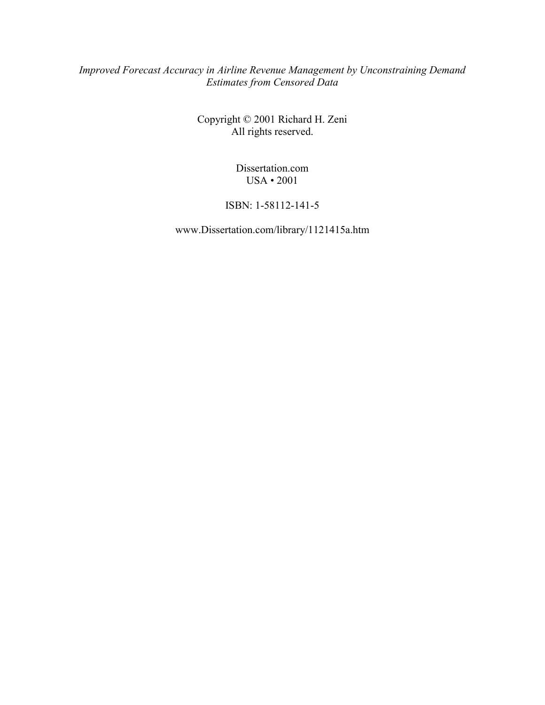#### *Improved Forecast Accuracy in Airline Revenue Management by Unconstraining Demand Estimates from Censored Data*

Copyright © 2001 Richard H. Zeni All rights reserved.

> Dissertation.com USA • 2001

#### ISBN: 1-58112-141-5

www.Dissertation.com/library/1121415a.htm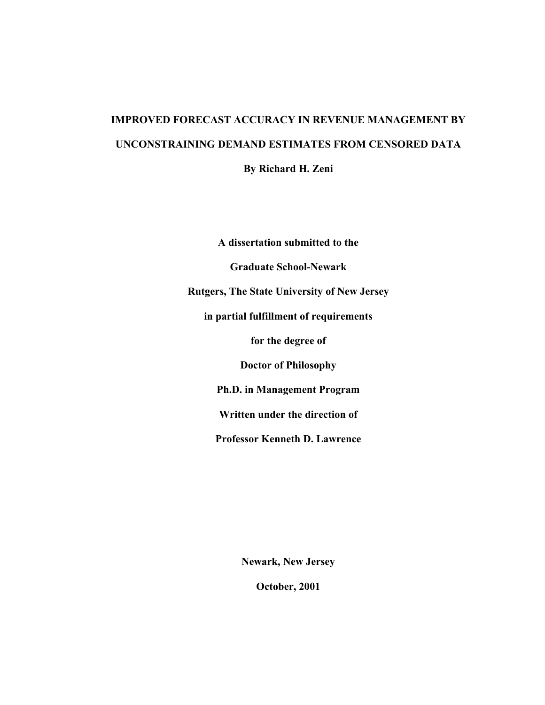# **IMPROVED FORECAST ACCURACY IN REVENUE MANAGEMENT BY UNCONSTRAINING DEMAND ESTIMATES FROM CENSORED DATA**

**By Richard H. Zeni** 

**A dissertation submitted to the Graduate School-Newark Rutgers, The State University of New Jersey in partial fulfillment of requirements for the degree of Doctor of Philosophy Ph.D. in Management Program Written under the direction of Professor Kenneth D. Lawrence** 

**Newark, New Jersey** 

**October, 2001**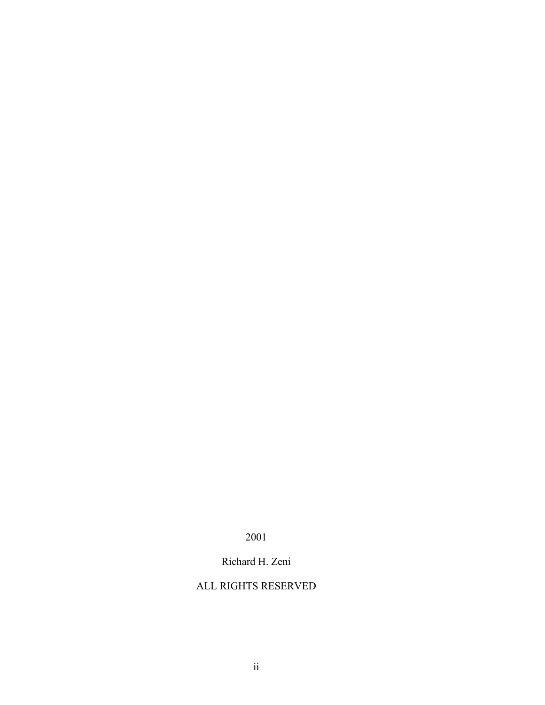2001

Richard H. Zeni

#### ALL RIGHTS RESERVED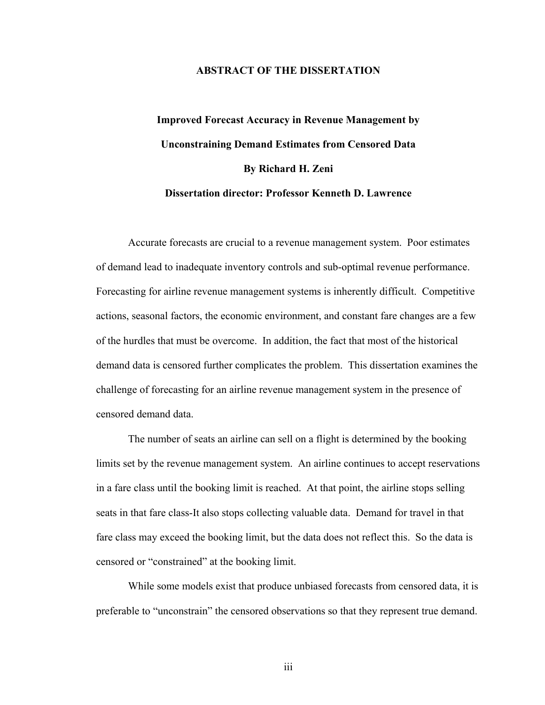#### **ABSTRACT OF THE DISSERTATION**

# **Improved Forecast Accuracy in Revenue Management by Unconstraining Demand Estimates from Censored Data By Richard H. Zeni Dissertation director: Professor Kenneth D. Lawrence**

Accurate forecasts are crucial to a revenue management system. Poor estimates of demand lead to inadequate inventory controls and sub-optimal revenue performance. Forecasting for airline revenue management systems is inherently difficult. Competitive actions, seasonal factors, the economic environment, and constant fare changes are a few of the hurdles that must be overcome. In addition, the fact that most of the historical demand data is censored further complicates the problem. This dissertation examines the challenge of forecasting for an airline revenue management system in the presence of censored demand data.

The number of seats an airline can sell on a flight is determined by the booking limits set by the revenue management system. An airline continues to accept reservations in a fare class until the booking limit is reached. At that point, the airline stops selling seats in that fare class-It also stops collecting valuable data. Demand for travel in that fare class may exceed the booking limit, but the data does not reflect this. So the data is censored or "constrained" at the booking limit.

While some models exist that produce unbiased forecasts from censored data, it is preferable to "unconstrain" the censored observations so that they represent true demand.

iii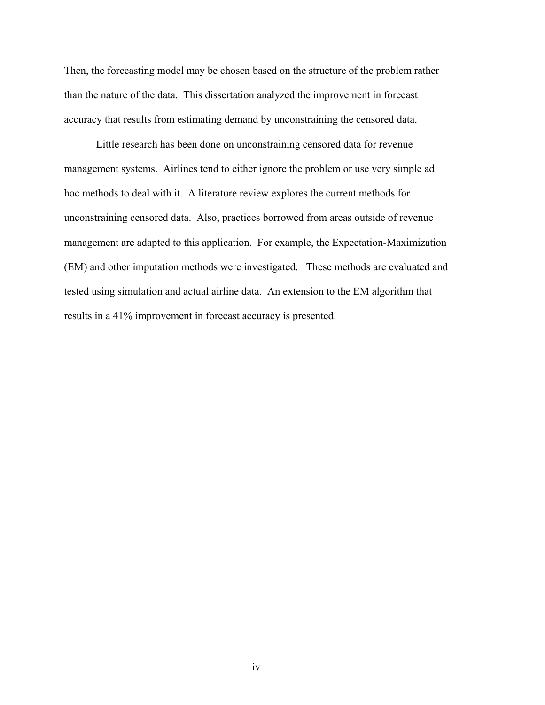Then, the forecasting model may be chosen based on the structure of the problem rather than the nature of the data. This dissertation analyzed the improvement in forecast accuracy that results from estimating demand by unconstraining the censored data.

Little research has been done on unconstraining censored data for revenue management systems. Airlines tend to either ignore the problem or use very simple ad hoc methods to deal with it. A literature review explores the current methods for unconstraining censored data. Also, practices borrowed from areas outside of revenue management are adapted to this application. For example, the Expectation-Maximization (EM) and other imputation methods were investigated. These methods are evaluated and tested using simulation and actual airline data. An extension to the EM algorithm that results in a 41% improvement in forecast accuracy is presented.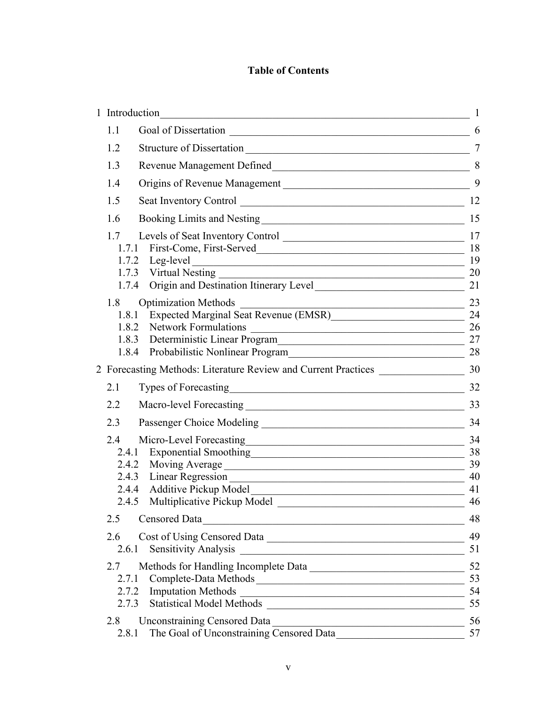### **Table of Contents**

| 1 Introduction | <u> 1989 - Johann Stein, mars an deutscher Stein († 1958)</u>                                                                                                |                |
|----------------|--------------------------------------------------------------------------------------------------------------------------------------------------------------|----------------|
| 1.1            |                                                                                                                                                              | 6              |
| 1.2            | Structure of Dissertation                                                                                                                                    | $\overline{7}$ |
| 1.3            |                                                                                                                                                              |                |
| 1.4            | Origins of Revenue Management                                                                                                                                | 9              |
| 1.5            |                                                                                                                                                              | 12             |
| 1.6            |                                                                                                                                                              | 15             |
| 1.7            | Levels of Seat Inventory Control                                                                                                                             | 17             |
|                | 1.7.1 First-Come, First-Served_                                                                                                                              | 18             |
|                | 1.7.2 Leg-level<br><u> 1989 - Johann Stoff, Amerikaansk politiker († 1908)</u>                                                                               | 19             |
|                |                                                                                                                                                              | 20             |
|                | 1.7.4 Origin and Destination Itinerary Level                                                                                                                 | 21             |
| 1.8            | <b>Optimization Methods</b><br><u> 1989 - Johann Barbara, martin amerikan basal dan berasal dalam basal dalam basal dalam basal dalam basal dala</u>         | 23             |
| 1.8.1          | Expected Marginal Seat Revenue (EMSR)<br><u>Letter Annual Seat Action</u>                                                                                    | 24             |
| 1.8.2          | <b>Network Formulations</b><br><u> 1989 - Johann Harry Harry Harry Harry Harry Harry Harry Harry Harry Harry Harry Harry Harry Harry Harry Harry</u>         | 26             |
|                | 1.8.3 Deterministic Linear Program                                                                                                                           | 27             |
|                | 1.8.4 Probabilistic Nonlinear Program                                                                                                                        | 28             |
|                | 2 Forecasting Methods: Literature Review and Current Practices                                                                                               | 30             |
| 2.1            |                                                                                                                                                              | 32             |
| 2.2            |                                                                                                                                                              | 33             |
| 2.3            |                                                                                                                                                              | 34             |
| 2.4            | Micro-Level Forecasting<br><u> 1989 - Johann Barn, mars ann an t-Amhain Aonaich an t-Aonaich an t-Aonaich ann an t-Aonaich ann an t-Aonaich</u>              | 34             |
|                |                                                                                                                                                              | 38             |
| 2.4.2          |                                                                                                                                                              | 39             |
| 2.4.3          |                                                                                                                                                              | 40             |
|                | 2.4.4 Additive Pickup Model<br><u> 1989 - Andrea Stadt Britain, amerikansk politik (* 1908)</u>                                                              | 41             |
| 2.4.5          | Multiplicative Pickup Model                                                                                                                                  | 46             |
| 2.5            | Censored Data<br><u> 1989 - Johann John Stein, mars ar yw i brenin y cynnwys y cynnwys y cynnwys y cynnwys y cynnwys y cynnwys y c</u>                       | 48             |
| 2.6            | Cost of Using Censored Data                                                                                                                                  | 49             |
|                | 2.6.1 Sensitivity Analysis<br><u> 1989 - Johann Harry Barn, mars ar breist fan de Amerikaanske kommunent fan de Amerikaanske kommunent fan de A</u>          | 51             |
| 2.7            | Methods for Handling Incomplete Data                                                                                                                         | 52             |
| 2.7.1          | Complete-Data Methods 53                                                                                                                                     |                |
|                | 2.7.2 Imputation Methods<br><u> Alexandria de la contrada de la contrada de la contrada de la contrada de la contrada de la contrada de la c</u>             | 54             |
| 2.7.3          |                                                                                                                                                              | 55             |
| 2.8            | <b>Unconstraining Censored Data</b><br><u> 1989 - Johann John Stone, mars eta bainar eta mondo eta erroman eta erroman erroman erroman erroman erroman e</u> | 56             |
| 2.8.1          | The Goal of Unconstraining Censored Data                                                                                                                     | 57             |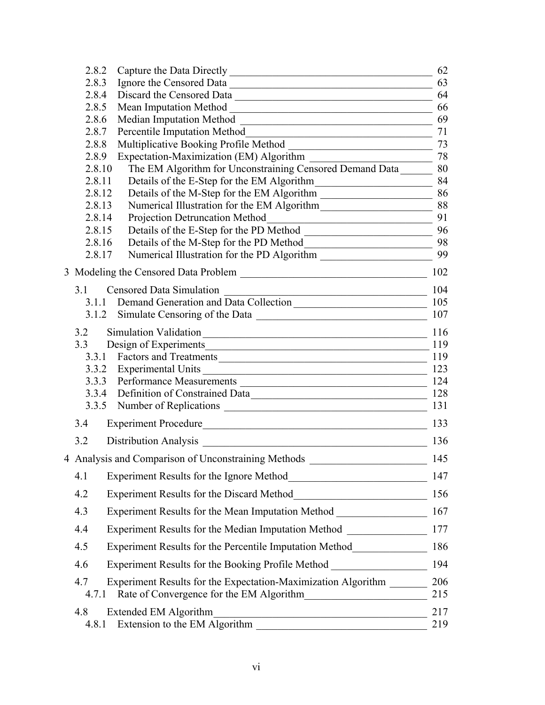| 2.8.2            |                                                                                                                                                               | 62  |
|------------------|---------------------------------------------------------------------------------------------------------------------------------------------------------------|-----|
| 2.8.3            | Ignore the Censored Data                                                                                                                                      | 63  |
| 2.8.4            | Discard the Censored Data                                                                                                                                     | 64  |
| 2.8.5            | Mean Imputation Method<br><u> 1989 - Johann John Stone, mars eta bat eta bat eta bat eta bat eta bat eta bat eta bat eta bat eta bat eta b</u>                | 66  |
| 2.8.6            |                                                                                                                                                               | 69  |
| 2.8.7            | Percentile Imputation Method<br><u> 1989 - Johann Stoff, Amerikaansk politiker (</u>                                                                          | 71  |
| 2.8.8            | Multiplicative Booking Profile Method<br><u> 1989 - Johann Barbara, marka a shekara tsa 1989 - An tsa 1989 - An tsa 1989 - An tsa 1989 - An tsa 1989 - An</u> | 73  |
| 2.8.9            |                                                                                                                                                               | 78  |
| 2.8.10           | The EM Algorithm for Unconstraining Censored Demand Data 80                                                                                                   |     |
| 2.8.11           | Details of the E-Step for the EM Algorithm                                                                                                                    |     |
| 2.8.12           |                                                                                                                                                               |     |
| 2.8.13           |                                                                                                                                                               |     |
| 2.8.14           | Projection Detruncation Method                                                                                                                                | 91  |
| 2.8.15<br>2.8.16 |                                                                                                                                                               | 96  |
| 2.8.17           |                                                                                                                                                               | 99  |
|                  |                                                                                                                                                               |     |
|                  |                                                                                                                                                               | 102 |
| 3.1              | <b>Censored Data Simulation</b><br><u> 1989 - Johann Barn, mars ann an t-Amhain Aonaich an t-Aonaich an t-Aonaich an t-Aonaich an t-Aonaich an t-Aon</u>      | 104 |
|                  |                                                                                                                                                               |     |
|                  |                                                                                                                                                               | 107 |
| 3.2              | Simulation Validation                                                                                                                                         | 116 |
| 3.3              | Design of Experiments 119                                                                                                                                     |     |
|                  | 3.3.1 Factors and Treatments                                                                                                                                  | 119 |
|                  | 3.3.2 Experimental Units<br><u> 1990 - Johann Barbara, martin amerikan basar dan berasal dalam basa dalam basa dalam basa dalam basa dalam ba</u>             | 123 |
|                  | 3.3.3 Performance Measurements 200 measurements 2124                                                                                                          |     |
| 3.3.4            | Definition of Constrained Data 128                                                                                                                            |     |
|                  |                                                                                                                                                               | 131 |
| 3.4              | Experiment Procedure                                                                                                                                          | 133 |
| 3.2              | Distribution Analysis                                                                                                                                         | 136 |
|                  | 4 Analysis and Comparison of Unconstraining Methods                                                                                                           | 145 |
| 4.1              | Experiment Results for the Ignore Method                                                                                                                      | 147 |
| 4.2              |                                                                                                                                                               | 156 |
| 4.3              | Experiment Results for the Mean Imputation Method ______________________________                                                                              | 167 |
| 4.4              | Experiment Results for the Median Imputation Method ____________________________                                                                              | 177 |
| 4.5              | Experiment Results for the Percentile Imputation Method__________________________                                                                             | 186 |
| 4.6              | Experiment Results for the Booking Profile Method ______________________________                                                                              | 194 |
| 4.7              | Experiment Results for the Expectation-Maximization Algorithm                                                                                                 | 206 |
| 4.7.1            | Rate of Convergence for the EM Algorithm                                                                                                                      | 215 |
| 4.8              | Extended EM Algorithm                                                                                                                                         | 217 |
| 4.8.1            | <u> 1989 - Johann John Stein, mars an deus Amerikaansk kommunister (</u><br>Extension to the EM Algorithm                                                     | 219 |
|                  |                                                                                                                                                               |     |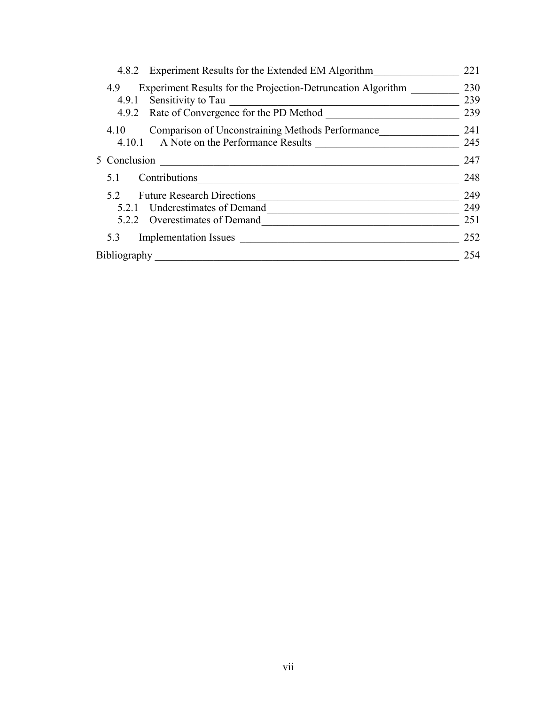| 4.8.2 Experiment Results for the Extended EM Algorithm                                                  | 221        |
|---------------------------------------------------------------------------------------------------------|------------|
| Experiment Results for the Projection-Detruncation Algorithm<br>4.9<br>Sensitivity to Tau<br>4.9.1      | 230<br>239 |
| 4.9.2 Rate of Convergence for the PD Method                                                             | 239        |
| Comparison of Unconstraining Methods Performance<br>4.10<br>A Note on the Performance Results<br>4.10.1 | 241<br>245 |
| 5 Conclusion                                                                                            | 247        |
| Contributions<br>5.1                                                                                    | 248        |
| <b>Future Research Directions</b><br>52                                                                 | 249        |
| Underestimates of Demand<br>521                                                                         | 249        |
| Overestimates of Demand<br>522                                                                          | 251        |
| <b>Implementation Issues</b><br>5.3                                                                     | 252        |
| <b>Bibliography</b>                                                                                     | 254        |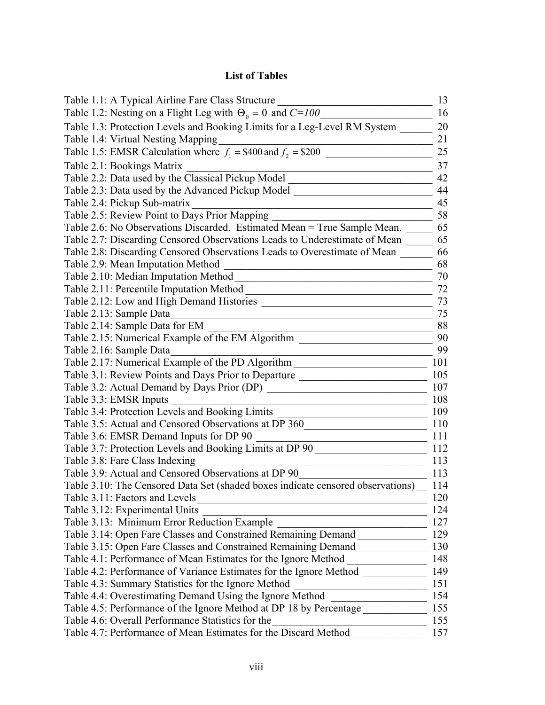### **List of Tables**

| Table 1.1: A Typical Airline Fare Class Structure                                                              | 13  |
|----------------------------------------------------------------------------------------------------------------|-----|
| Table 1.2: Nesting on a Flight Leg with $\Theta_0 = 0$ and $C = 100$                                           | 16  |
| Table 1.3: Protection Levels and Booking Limits for a Leg-Level RM System                                      | 20  |
| Table 1.4: Virtual Nesting Mapping                                                                             | 21  |
| Table 1.5: EMSR Calculation where $f_1 = $400$ and $f_2 = $200$                                                | 25  |
| Table 2.1: Bookings Matrix                                                                                     | 37  |
| Table 2.2: Data used by the Classical Pickup Model                                                             | 42  |
| Table 2.3: Data used by the Advanced Pickup Model                                                              | 44  |
| Table 2.4: Pickup Sub-matrix                                                                                   | 45  |
| Table 2.5: Review Point to Days Prior Mapping                                                                  | 58  |
| Table 2.6: No Observations Discarded. Estimated Mean = True Sample Mean.                                       | 65  |
| Table 2.7: Discarding Censored Observations Leads to Underestimate of Mean                                     | 65  |
| Table 2.8: Discarding Censored Observations Leads to Overestimate of Mean                                      | 66  |
| Table 2.9: Mean Imputation Method                                                                              | 68  |
| Table 2.10: Median Imputation Method                                                                           | 70  |
| Table 2.11: Percentile Imputation Method                                                                       | 72  |
| Table 2.12: Low and High Demand Histories                                                                      | 73  |
| Table 2.13: Sample Data                                                                                        | 75  |
| Table 2.14: Sample Data for EM                                                                                 | 88  |
| Table 2.15: Numerical Example of the EM Algorithm                                                              | 90  |
| Table 2.16: Sample Data                                                                                        | 99  |
| Table 2.17: Numerical Example of the PD Algorithm                                                              | 101 |
| Table 3.1: Review Points and Days Prior to Departure                                                           | 105 |
| Table 3.2: Actual Demand by Days Prior (DP)                                                                    | 107 |
| Table 3.3: EMSR Inputs                                                                                         | 108 |
| Table 3.4: Protection Levels and Booking Limits                                                                | 109 |
| Table 3.5: Actual and Censored Observations at DP 360                                                          | 110 |
| Table 3.6: EMSR Demand Inputs for DP 90                                                                        | 111 |
| Table 3.7: Protection Levels and Booking Limits at DP 90                                                       | 112 |
| Table 3.8: Fare Class Indexing                                                                                 | 113 |
| Table 3.9: Actual and Censored Observations at DP 90                                                           | 113 |
| Table 3.10: The Censored Data Set (shaded boxes indicate censored observations)                                | 114 |
| Table 3.11: Factors and Levels<br><u> 1989 - Johann John Stein, mars an deus Amerikaansk kommunister (</u>     | 120 |
| Table 3.12: Experimental Units                                                                                 | 124 |
| Table 3.13: Minimum Error Reduction Example                                                                    | 127 |
| Table 3.14: Open Fare Classes and Constrained Remaining Demand _________________                               | 129 |
| Table 3.15: Open Fare Classes and Constrained Remaining Demand                                                 | 130 |
| Table 4.1: Performance of Mean Estimates for the Ignore Method                                                 | 148 |
| Table 4.2: Performance of Variance Estimates for the Ignore Method                                             | 149 |
| Table 4.3: Summary Statistics for the Ignore Method                                                            | 151 |
| Table 4.4: Overestimating Demand Using the Ignore Method                                                       | 154 |
| Table 4.5: Performance of the Ignore Method at DP 18 by Percentage                                             | 155 |
| Table 4.6: Overall Performance Statistics for the<br><u> 1989 - Johann John Stone, mensk politik (d. 1989)</u> | 155 |
| Table 4.7: Performance of Mean Estimates for the Discard Method                                                | 157 |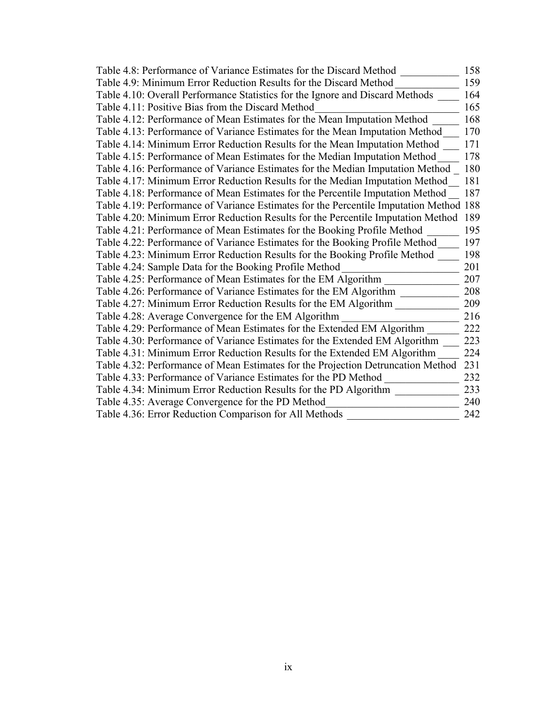| Table 4.8: Performance of Variance Estimates for the Discard Method                    | 158 |
|----------------------------------------------------------------------------------------|-----|
| Table 4.9: Minimum Error Reduction Results for the Discard Method                      | 159 |
| Table 4.10: Overall Performance Statistics for the Ignore and Discard Methods          | 164 |
| Table 4.11: Positive Bias from the Discard Method                                      | 165 |
| Table 4.12: Performance of Mean Estimates for the Mean Imputation Method               | 168 |
| Table 4.13: Performance of Variance Estimates for the Mean Imputation Method           | 170 |
| Table 4.14: Minimum Error Reduction Results for the Mean Imputation Method             | 171 |
| Table 4.15: Performance of Mean Estimates for the Median Imputation Method             | 178 |
| Table 4.16: Performance of Variance Estimates for the Median Imputation Method         | 180 |
| Table 4.17: Minimum Error Reduction Results for the Median Imputation Method           | 181 |
| Table 4.18: Performance of Mean Estimates for the Percentile Imputation Method         | 187 |
| Table 4.19: Performance of Variance Estimates for the Percentile Imputation Method 188 |     |
| Table 4.20: Minimum Error Reduction Results for the Percentile Imputation Method       | 189 |
| Table 4.21: Performance of Mean Estimates for the Booking Profile Method               | 195 |
| Table 4.22: Performance of Variance Estimates for the Booking Profile Method           | 197 |
| Table 4.23: Minimum Error Reduction Results for the Booking Profile Method             | 198 |
| Table 4.24: Sample Data for the Booking Profile Method                                 | 201 |
| Table 4.25: Performance of Mean Estimates for the EM Algorithm                         | 207 |
| Table 4.26: Performance of Variance Estimates for the EM Algorithm                     | 208 |
| Table 4.27: Minimum Error Reduction Results for the EM Algorithm                       | 209 |
| Table 4.28: Average Convergence for the EM Algorithm                                   | 216 |
| Table 4.29: Performance of Mean Estimates for the Extended EM Algorithm                | 222 |
| Table 4.30: Performance of Variance Estimates for the Extended EM Algorithm            | 223 |
| Table 4.31: Minimum Error Reduction Results for the Extended EM Algorithm              | 224 |
| Table 4.32: Performance of Mean Estimates for the Projection Detruncation Method       | 231 |
| Table 4.33: Performance of Variance Estimates for the PD Method                        | 232 |
| Table 4.34: Minimum Error Reduction Results for the PD Algorithm                       | 233 |
| Table 4.35: Average Convergence for the PD Method                                      | 240 |
| Table 4.36: Error Reduction Comparison for All Methods                                 | 242 |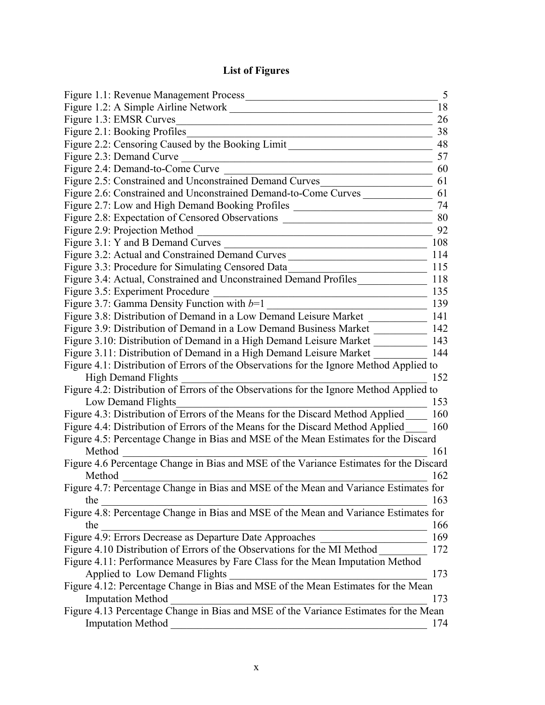## **List of Figures**

| Figure 1.1: Revenue Management Process                                                  | 5  |
|-----------------------------------------------------------------------------------------|----|
| Figure 1.2: A Simple Airline Network                                                    | 18 |
| Figure 1.3: EMSR Curves                                                                 | 26 |
| Figure 2.1: Booking Profiles                                                            | 38 |
| Figure 2.2: Censoring Caused by the Booking Limit                                       | 48 |
| Figure 2.3: Demand Curve                                                                | 57 |
| Figure 2.4: Demand-to-Come Curve                                                        | 60 |
| Figure 2.5: Constrained and Unconstrained Demand Curves                                 | 61 |
| Figure 2.6: Constrained and Unconstrained Demand-to-Come Curves                         | 61 |
| Figure 2.7: Low and High Demand Booking Profiles                                        | 74 |
| Figure 2.8: Expectation of Censored Observations                                        | 80 |
| Figure 2.9: Projection Method                                                           | 92 |
| Figure 3.1: Y and B Demand Curves<br>108                                                |    |
| Figure 3.2: Actual and Constrained Demand Curves<br>114                                 |    |
| Figure 3.3: Procedure for Simulating Censored Data<br>115                               |    |
| Figure 3.4: Actual, Constrained and Unconstrained Demand Profiles<br>118                |    |
| Figure 3.5: Experiment Procedure<br>135                                                 |    |
| Figure 3.7: Gamma Density Function with $b=1$<br>139                                    |    |
| Figure 3.8: Distribution of Demand in a Low Demand Leisure Market<br>141                |    |
| Figure 3.9: Distribution of Demand in a Low Demand Business Market<br>142               |    |
| Figure 3.10: Distribution of Demand in a High Demand Leisure Market<br>143              |    |
| Figure 3.11: Distribution of Demand in a High Demand Leisure Market<br>144              |    |
| Figure 4.1: Distribution of Errors of the Observations for the Ignore Method Applied to |    |
| <b>High Demand Flights</b><br>152                                                       |    |
| Figure 4.2: Distribution of Errors of the Observations for the Ignore Method Applied to |    |
| Low Demand Flights<br>153                                                               |    |
| Figure 4.3: Distribution of Errors of the Means for the Discard Method Applied<br>160   |    |
| Figure 4.4: Distribution of Errors of the Means for the Discard Method Applied<br>160   |    |
| Figure 4.5: Percentage Change in Bias and MSE of the Mean Estimates for the Discard     |    |
| Method<br>161                                                                           |    |
| Figure 4.6 Percentage Change in Bias and MSE of the Variance Estimates for the Discard  |    |
| Method<br>162                                                                           |    |
| Figure 4.7: Percentage Change in Bias and MSE of the Mean and Variance Estimates for    |    |
| 163<br>the                                                                              |    |
| Figure 4.8: Percentage Change in Bias and MSE of the Mean and Variance Estimates for    |    |
| the<br>166                                                                              |    |
| Figure 4.9: Errors Decrease as Departure Date Approaches<br>169                         |    |
| Figure 4.10 Distribution of Errors of the Observations for the MI Method<br>172         |    |
| Figure 4.11: Performance Measures by Fare Class for the Mean Imputation Method          |    |
| Applied to Low Demand Flights<br>173                                                    |    |
| Figure 4.12: Percentage Change in Bias and MSE of the Mean Estimates for the Mean       |    |
| <b>Imputation Method</b><br>173                                                         |    |
| Figure 4.13 Percentage Change in Bias and MSE of the Variance Estimates for the Mean    |    |
| <b>Imputation Method</b><br>174                                                         |    |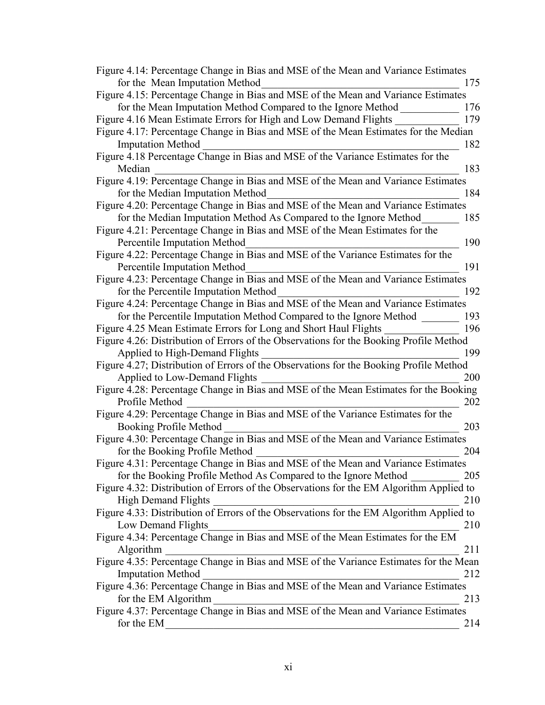| Figure 4.14: Percentage Change in Bias and MSE of the Mean and Variance Estimates       |
|-----------------------------------------------------------------------------------------|
| for the Mean Imputation Method<br>175                                                   |
| Figure 4.15: Percentage Change in Bias and MSE of the Mean and Variance Estimates       |
| for the Mean Imputation Method Compared to the Ignore Method<br>176                     |
| Figure 4.16 Mean Estimate Errors for High and Low Demand Flights<br>179                 |
| Figure 4.17: Percentage Change in Bias and MSE of the Mean Estimates for the Median     |
| <b>Imputation Method</b><br>182                                                         |
| Figure 4.18 Percentage Change in Bias and MSE of the Variance Estimates for the         |
| Median<br>183                                                                           |
| Figure 4.19: Percentage Change in Bias and MSE of the Mean and Variance Estimates       |
| for the Median Imputation Method<br>184                                                 |
| Figure 4.20: Percentage Change in Bias and MSE of the Mean and Variance Estimates       |
| for the Median Imputation Method As Compared to the Ignore Method<br>185                |
| Figure 4.21: Percentage Change in Bias and MSE of the Mean Estimates for the            |
| <b>Percentile Imputation Method</b><br>190                                              |
| Figure 4.22: Percentage Change in Bias and MSE of the Variance Estimates for the        |
| Percentile Imputation Method<br>191                                                     |
| Figure 4.23: Percentage Change in Bias and MSE of the Mean and Variance Estimates       |
| for the Percentile Imputation Method<br>192                                             |
| Figure 4.24: Percentage Change in Bias and MSE of the Mean and Variance Estimates       |
| for the Percentile Imputation Method Compared to the Ignore Method<br>193               |
| Figure 4.25 Mean Estimate Errors for Long and Short Haul Flights<br>196                 |
| Figure 4.26: Distribution of Errors of the Observations for the Booking Profile Method  |
| Applied to High-Demand Flights<br>199                                                   |
| Figure 4.27; Distribution of Errors of the Observations for the Booking Profile Method  |
| Applied to Low-Demand Flights<br>200                                                    |
| Figure 4.28: Percentage Change in Bias and MSE of the Mean Estimates for the Booking    |
| Profile Method<br>202                                                                   |
| Figure 4.29: Percentage Change in Bias and MSE of the Variance Estimates for the        |
| Booking Profile Method<br>203                                                           |
| Figure 4.30: Percentage Change in Bias and MSE of the Mean and Variance Estimates       |
| for the Booking Profile Method<br>204                                                   |
| Figure 4.31: Percentage Change in Bias and MSE of the Mean and Variance Estimates       |
| for the Booking Profile Method As Compared to the Ignore Method<br>205                  |
| Figure 4.32: Distribution of Errors of the Observations for the EM Algorithm Applied to |
| <b>High Demand Flights</b><br>210                                                       |
| Figure 4.33: Distribution of Errors of the Observations for the EM Algorithm Applied to |
| Low Demand Flights<br>210                                                               |
| Figure 4.34: Percentage Change in Bias and MSE of the Mean Estimates for the EM         |
| Algorithm<br>211                                                                        |
| Figure 4.35: Percentage Change in Bias and MSE of the Variance Estimates for the Mean   |
| <b>Imputation Method</b><br>212                                                         |
| Figure 4.36: Percentage Change in Bias and MSE of the Mean and Variance Estimates       |
| for the EM Algorithm<br>213                                                             |
| Figure 4.37: Percentage Change in Bias and MSE of the Mean and Variance Estimates       |
| for the EM<br>214                                                                       |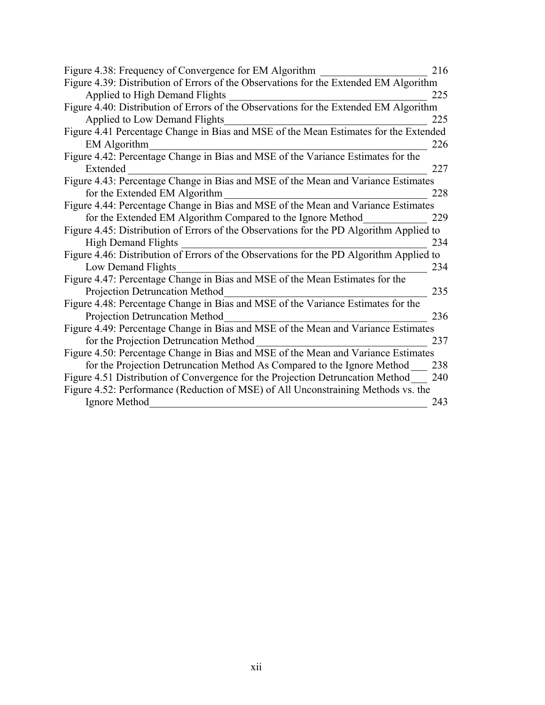| Figure 4.38: Frequency of Convergence for EM Algorithm                                  | 216 |
|-----------------------------------------------------------------------------------------|-----|
| Figure 4.39: Distribution of Errors of the Observations for the Extended EM Algorithm   |     |
| Applied to High Demand Flights                                                          | 225 |
| Figure 4.40: Distribution of Errors of the Observations for the Extended EM Algorithm   |     |
| Applied to Low Demand Flights                                                           | 225 |
| Figure 4.41 Percentage Change in Bias and MSE of the Mean Estimates for the Extended    |     |
| <b>EM</b> Algorithm                                                                     | 226 |
| Figure 4.42: Percentage Change in Bias and MSE of the Variance Estimates for the        |     |
| Extended                                                                                | 227 |
| Figure 4.43: Percentage Change in Bias and MSE of the Mean and Variance Estimates       |     |
| for the Extended EM Algorithm                                                           | 228 |
| Figure 4.44: Percentage Change in Bias and MSE of the Mean and Variance Estimates       |     |
| for the Extended EM Algorithm Compared to the Ignore Method                             | 229 |
| Figure 4.45: Distribution of Errors of the Observations for the PD Algorithm Applied to |     |
| <b>High Demand Flights</b>                                                              | 234 |
| Figure 4.46: Distribution of Errors of the Observations for the PD Algorithm Applied to |     |
| Low Demand Flights                                                                      | 234 |
| Figure 4.47: Percentage Change in Bias and MSE of the Mean Estimates for the            |     |
| Projection Detruncation Method                                                          | 235 |
| Figure 4.48: Percentage Change in Bias and MSE of the Variance Estimates for the        |     |
| Projection Detruncation Method                                                          | 236 |
| Figure 4.49: Percentage Change in Bias and MSE of the Mean and Variance Estimates       |     |
| for the Projection Detruncation Method                                                  | 237 |
| Figure 4.50: Percentage Change in Bias and MSE of the Mean and Variance Estimates       |     |
| for the Projection Detruncation Method As Compared to the Ignore Method                 | 238 |
| Figure 4.51 Distribution of Convergence for the Projection Detruncation Method          | 240 |
| Figure 4.52: Performance (Reduction of MSE) of All Unconstraining Methods vs. the       |     |
| Ignore Method                                                                           | 243 |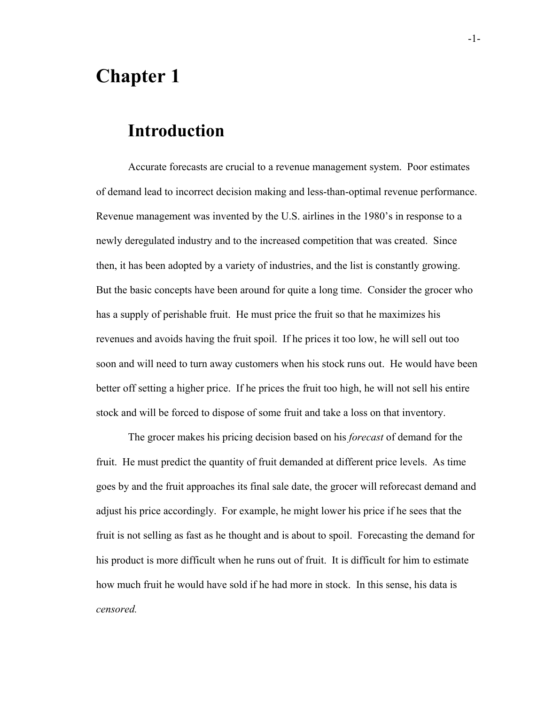## **Chapter 1**

## **Introduction**

Accurate forecasts are crucial to a revenue management system. Poor estimates of demand lead to incorrect decision making and less-than-optimal revenue performance. Revenue management was invented by the U.S. airlines in the 1980's in response to a newly deregulated industry and to the increased competition that was created. Since then, it has been adopted by a variety of industries, and the list is constantly growing. But the basic concepts have been around for quite a long time. Consider the grocer who has a supply of perishable fruit. He must price the fruit so that he maximizes his revenues and avoids having the fruit spoil. If he prices it too low, he will sell out too soon and will need to turn away customers when his stock runs out. He would have been better off setting a higher price. If he prices the fruit too high, he will not sell his entire stock and will be forced to dispose of some fruit and take a loss on that inventory.

The grocer makes his pricing decision based on his *forecast* of demand for the fruit. He must predict the quantity of fruit demanded at different price levels. As time goes by and the fruit approaches its final sale date, the grocer will reforecast demand and adjust his price accordingly. For example, he might lower his price if he sees that the fruit is not selling as fast as he thought and is about to spoil. Forecasting the demand for his product is more difficult when he runs out of fruit. It is difficult for him to estimate how much fruit he would have sold if he had more in stock. In this sense, his data is *censored.*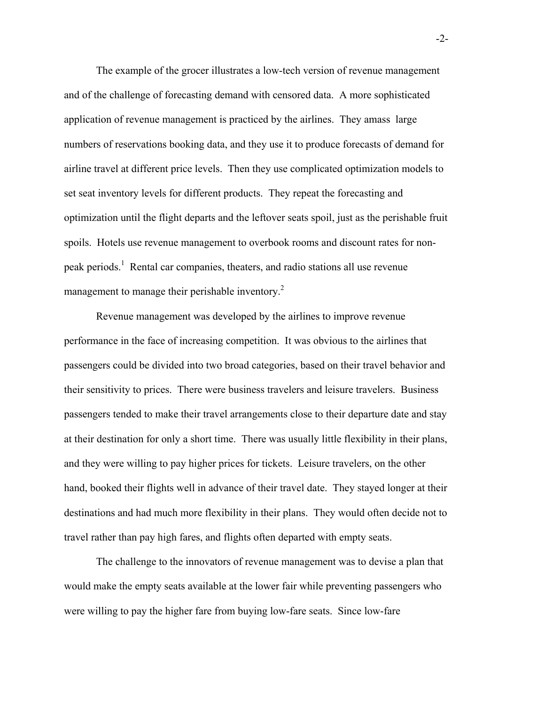The example of the grocer illustrates a low-tech version of revenue management and of the challenge of forecasting demand with censored data. A more sophisticated application of revenue management is practiced by the airlines. They amass large numbers of reservations booking data, and they use it to produce forecasts of demand for airline travel at different price levels. Then they use complicated optimization models to set seat inventory levels for different products. They repeat the forecasting and optimization until the flight departs and the leftover seats spoil, just as the perishable fruit spoils. Hotels use revenue management to overbook rooms and discount rates for nonpeak periods.<sup>1</sup> Rental car companies, theaters, and radio stations all use revenue management to manage their perishable inventory.<sup>2</sup>

Revenue management was developed by the airlines to improve revenue performance in the face of increasing competition. It was obvious to the airlines that passengers could be divided into two broad categories, based on their travel behavior and their sensitivity to prices. There were business travelers and leisure travelers. Business passengers tended to make their travel arrangements close to their departure date and stay at their destination for only a short time. There was usually little flexibility in their plans, and they were willing to pay higher prices for tickets. Leisure travelers, on the other hand, booked their flights well in advance of their travel date. They stayed longer at their destinations and had much more flexibility in their plans. They would often decide not to travel rather than pay high fares, and flights often departed with empty seats.

The challenge to the innovators of revenue management was to devise a plan that would make the empty seats available at the lower fair while preventing passengers who were willing to pay the higher fare from buying low-fare seats. Since low-fare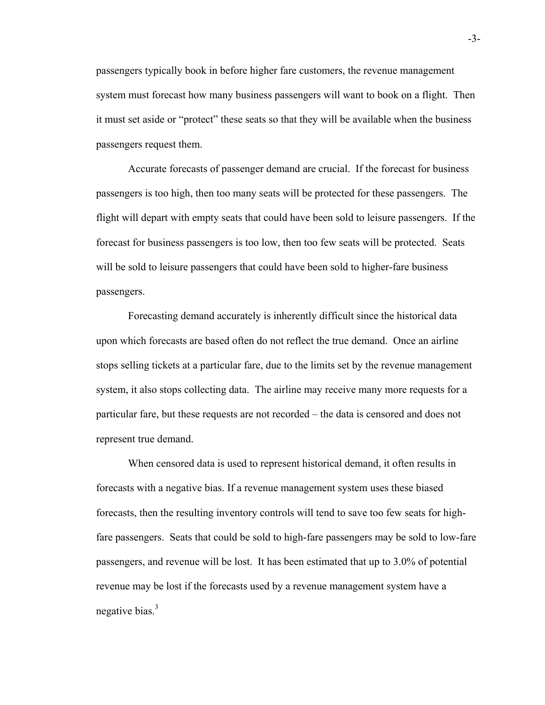passengers typically book in before higher fare customers, the revenue management system must forecast how many business passengers will want to book on a flight. Then it must set aside or "protect" these seats so that they will be available when the business passengers request them.

Accurate forecasts of passenger demand are crucial. If the forecast for business passengers is too high, then too many seats will be protected for these passengers. The flight will depart with empty seats that could have been sold to leisure passengers. If the forecast for business passengers is too low, then too few seats will be protected. Seats will be sold to leisure passengers that could have been sold to higher-fare business passengers.

Forecasting demand accurately is inherently difficult since the historical data upon which forecasts are based often do not reflect the true demand. Once an airline stops selling tickets at a particular fare, due to the limits set by the revenue management system, it also stops collecting data. The airline may receive many more requests for a particular fare, but these requests are not recorded – the data is censored and does not represent true demand.

When censored data is used to represent historical demand, it often results in forecasts with a negative bias. If a revenue management system uses these biased forecasts, then the resulting inventory controls will tend to save too few seats for highfare passengers. Seats that could be sold to high-fare passengers may be sold to low-fare passengers, and revenue will be lost. It has been estimated that up to 3.0% of potential revenue may be lost if the forecasts used by a revenue management system have a negative bias. $3<sup>3</sup>$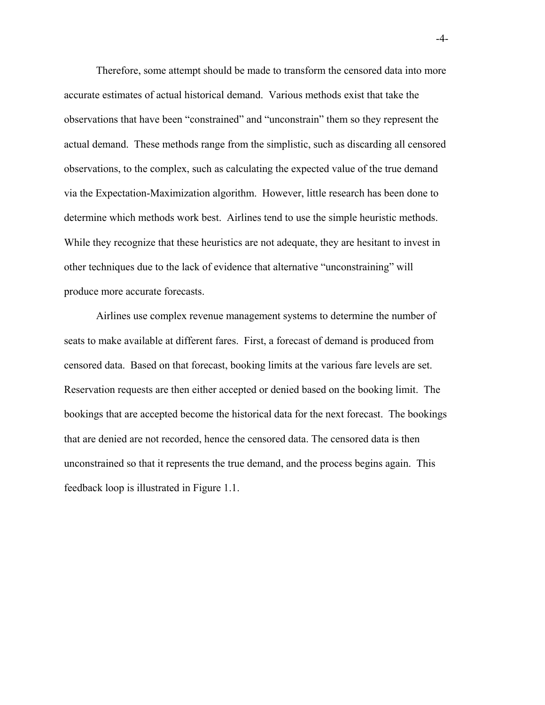Therefore, some attempt should be made to transform the censored data into more accurate estimates of actual historical demand. Various methods exist that take the observations that have been "constrained" and "unconstrain" them so they represent the actual demand. These methods range from the simplistic, such as discarding all censored observations, to the complex, such as calculating the expected value of the true demand via the Expectation-Maximization algorithm. However, little research has been done to determine which methods work best. Airlines tend to use the simple heuristic methods. While they recognize that these heuristics are not adequate, they are hesitant to invest in other techniques due to the lack of evidence that alternative "unconstraining" will produce more accurate forecasts.

Airlines use complex revenue management systems to determine the number of seats to make available at different fares. First, a forecast of demand is produced from censored data. Based on that forecast, booking limits at the various fare levels are set. Reservation requests are then either accepted or denied based on the booking limit. The bookings that are accepted become the historical data for the next forecast. The bookings that are denied are not recorded, hence the censored data. The censored data is then unconstrained so that it represents the true demand, and the process begins again. This feedback loop is illustrated in Figure 1.1.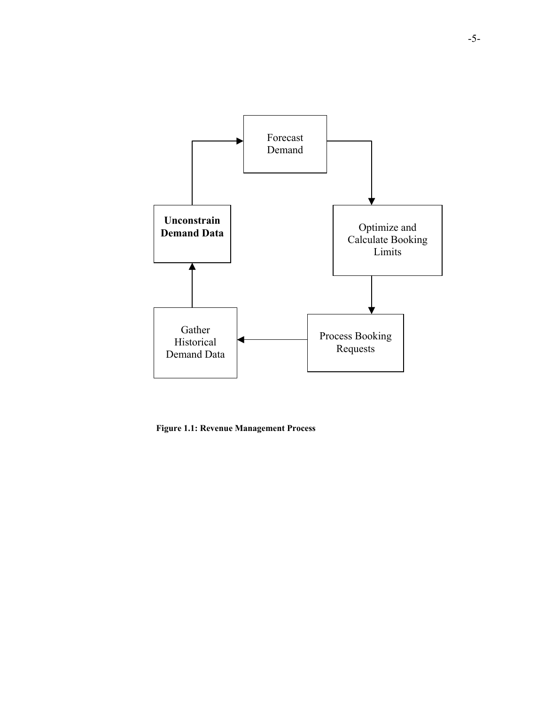

**Figure 1.1: Revenue Management Process**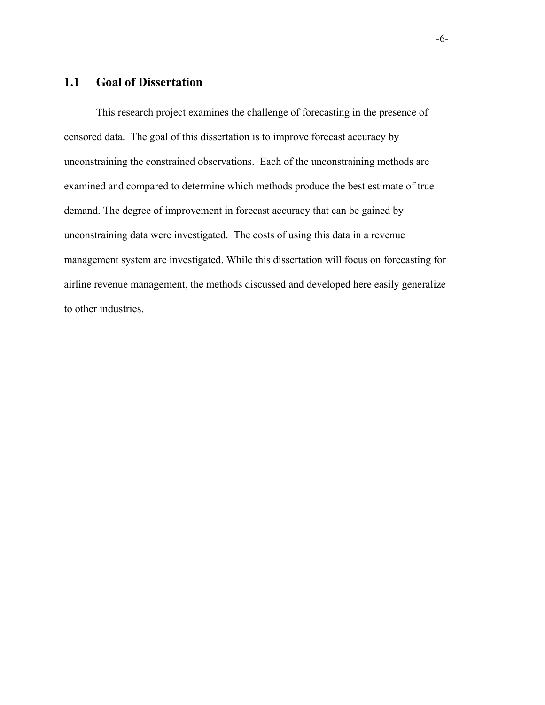#### **1.1 Goal of Dissertation**

This research project examines the challenge of forecasting in the presence of censored data. The goal of this dissertation is to improve forecast accuracy by unconstraining the constrained observations. Each of the unconstraining methods are examined and compared to determine which methods produce the best estimate of true demand. The degree of improvement in forecast accuracy that can be gained by unconstraining data were investigated. The costs of using this data in a revenue management system are investigated. While this dissertation will focus on forecasting for airline revenue management, the methods discussed and developed here easily generalize to other industries.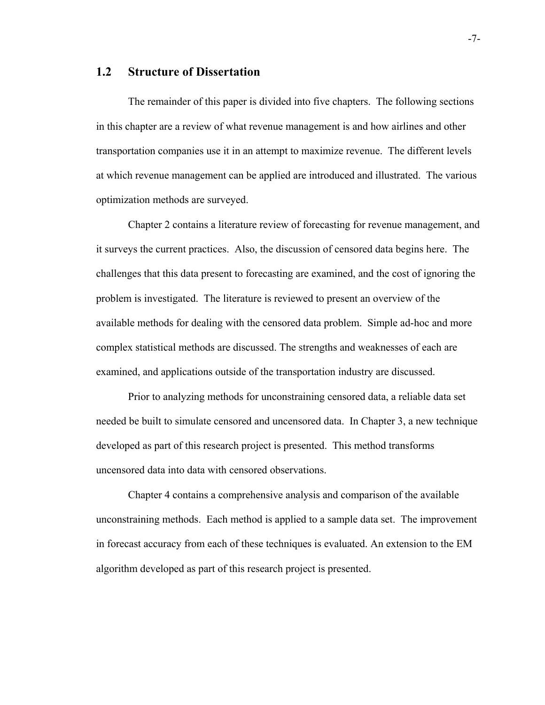#### **1.2 Structure of Dissertation**

The remainder of this paper is divided into five chapters. The following sections in this chapter are a review of what revenue management is and how airlines and other transportation companies use it in an attempt to maximize revenue. The different levels at which revenue management can be applied are introduced and illustrated. The various optimization methods are surveyed.

Chapter 2 contains a literature review of forecasting for revenue management, and it surveys the current practices. Also, the discussion of censored data begins here. The challenges that this data present to forecasting are examined, and the cost of ignoring the problem is investigated. The literature is reviewed to present an overview of the available methods for dealing with the censored data problem. Simple ad-hoc and more complex statistical methods are discussed. The strengths and weaknesses of each are examined, and applications outside of the transportation industry are discussed.

Prior to analyzing methods for unconstraining censored data, a reliable data set needed be built to simulate censored and uncensored data. In Chapter 3, a new technique developed as part of this research project is presented. This method transforms uncensored data into data with censored observations.

Chapter 4 contains a comprehensive analysis and comparison of the available unconstraining methods. Each method is applied to a sample data set. The improvement in forecast accuracy from each of these techniques is evaluated. An extension to the EM algorithm developed as part of this research project is presented.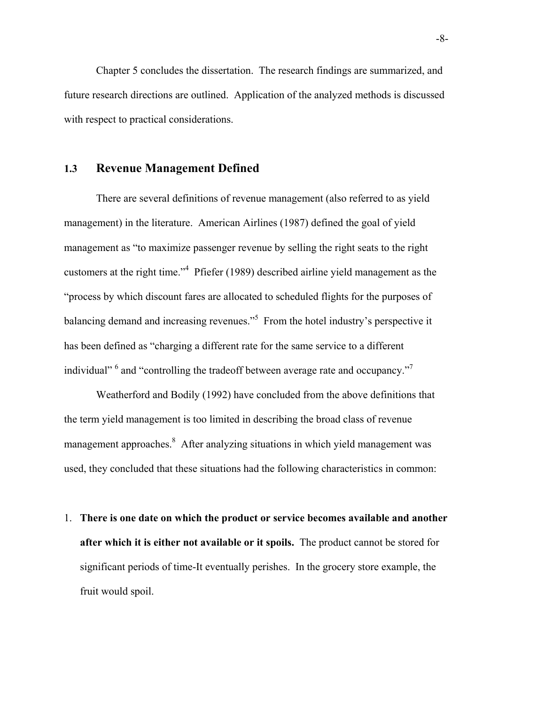Chapter 5 concludes the dissertation. The research findings are summarized, and future research directions are outlined. Application of the analyzed methods is discussed with respect to practical considerations.

#### **1.3 Revenue Management Defined**

There are several definitions of revenue management (also referred to as yield management) in the literature. American Airlines (1987) defined the goal of yield management as "to maximize passenger revenue by selling the right seats to the right customers at the right time." $4$  Pfiefer (1989) described airline yield management as the "process by which discount fares are allocated to scheduled flights for the purposes of balancing demand and increasing revenues."<sup>5</sup> From the hotel industry's perspective it has been defined as "charging a different rate for the same service to a different individual" <sup>6</sup> and "controlling the tradeoff between average rate and occupancy."<sup>7</sup>

Weatherford and Bodily (1992) have concluded from the above definitions that the term yield management is too limited in describing the broad class of revenue management approaches.<sup>8</sup> After analyzing situations in which yield management was used, they concluded that these situations had the following characteristics in common:

1. **There is one date on which the product or service becomes available and another after which it is either not available or it spoils.** The product cannot be stored for significant periods of time-It eventually perishes. In the grocery store example, the fruit would spoil.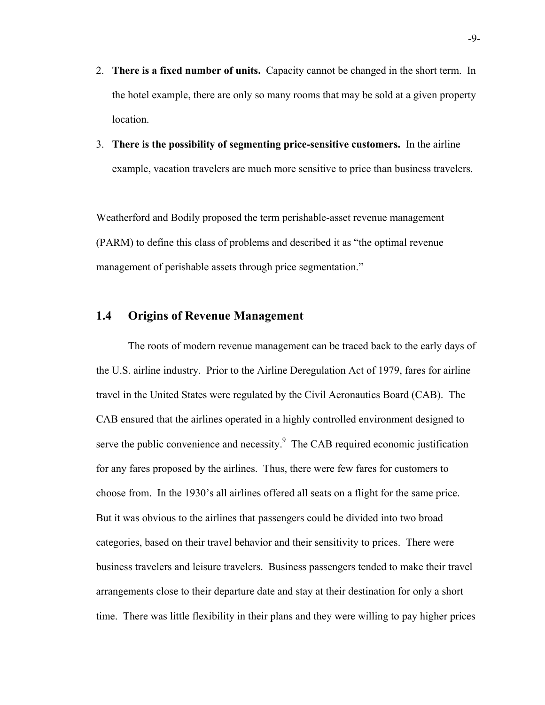- 2. **There is a fixed number of units.** Capacity cannot be changed in the short term. In the hotel example, there are only so many rooms that may be sold at a given property location.
- 3. **There is the possibility of segmenting price-sensitive customers.** In the airline example, vacation travelers are much more sensitive to price than business travelers.

Weatherford and Bodily proposed the term perishable-asset revenue management (PARM) to define this class of problems and described it as "the optimal revenue management of perishable assets through price segmentation."

### **1.4 Origins of Revenue Management**

The roots of modern revenue management can be traced back to the early days of the U.S. airline industry. Prior to the Airline Deregulation Act of 1979, fares for airline travel in the United States were regulated by the Civil Aeronautics Board (CAB). The CAB ensured that the airlines operated in a highly controlled environment designed to serve the public convenience and necessity. $9$  The CAB required economic justification for any fares proposed by the airlines. Thus, there were few fares for customers to choose from. In the 1930's all airlines offered all seats on a flight for the same price. But it was obvious to the airlines that passengers could be divided into two broad categories, based on their travel behavior and their sensitivity to prices. There were business travelers and leisure travelers. Business passengers tended to make their travel arrangements close to their departure date and stay at their destination for only a short time. There was little flexibility in their plans and they were willing to pay higher prices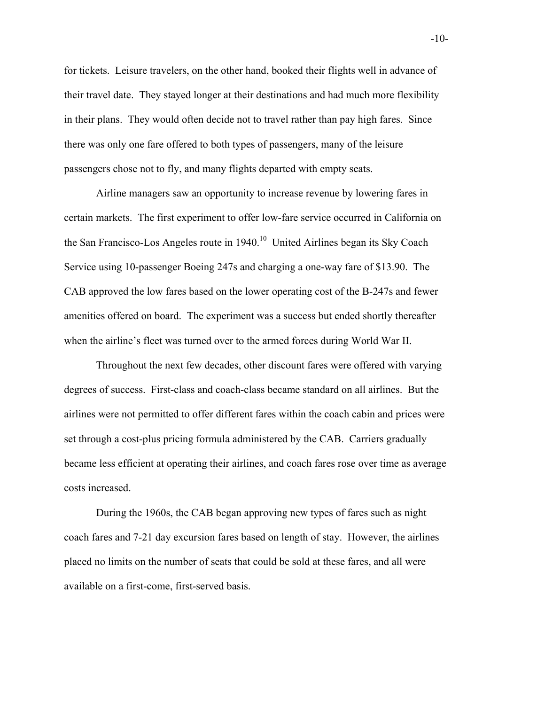for tickets. Leisure travelers, on the other hand, booked their flights well in advance of their travel date. They stayed longer at their destinations and had much more flexibility in their plans. They would often decide not to travel rather than pay high fares. Since there was only one fare offered to both types of passengers, many of the leisure passengers chose not to fly, and many flights departed with empty seats.

Airline managers saw an opportunity to increase revenue by lowering fares in certain markets. The first experiment to offer low-fare service occurred in California on the San Francisco-Los Angeles route in 1940.<sup>10</sup> United Airlines began its Sky Coach Service using 10-passenger Boeing 247s and charging a one-way fare of \$13.90. The CAB approved the low fares based on the lower operating cost of the B-247s and fewer amenities offered on board. The experiment was a success but ended shortly thereafter when the airline's fleet was turned over to the armed forces during World War II.

Throughout the next few decades, other discount fares were offered with varying degrees of success. First-class and coach-class became standard on all airlines. But the airlines were not permitted to offer different fares within the coach cabin and prices were set through a cost-plus pricing formula administered by the CAB. Carriers gradually became less efficient at operating their airlines, and coach fares rose over time as average costs increased.

During the 1960s, the CAB began approving new types of fares such as night coach fares and 7-21 day excursion fares based on length of stay. However, the airlines placed no limits on the number of seats that could be sold at these fares, and all were available on a first-come, first-served basis.

-10-